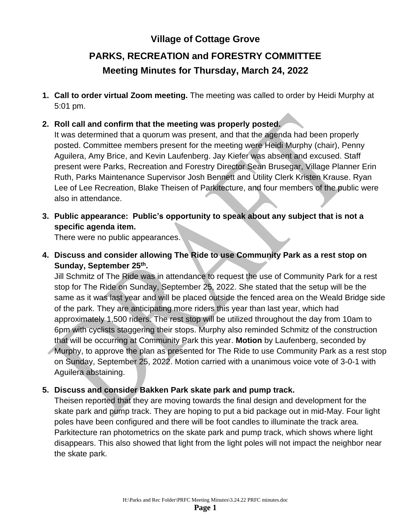# **Village of Cottage Grove**

# **PARKS, RECREATION and FORESTRY COMMITTEE Meeting Minutes for Thursday, March 24, 2022**

**1. Call to order virtual Zoom meeting.** The meeting was called to order by Heidi Murphy at 5:01 pm.

#### **2. Roll call and confirm that the meeting was properly posted.**

It was determined that a quorum was present, and that the agenda had been properly posted. Committee members present for the meeting were Heidi Murphy (chair), Penny Aguilera, Amy Brice, and Kevin Laufenberg. Jay Kiefer was absent and excused. Staff present were Parks, Recreation and Forestry Director Sean Brusegar, Village Planner Erin Ruth, Parks Maintenance Supervisor Josh Bennett and Utility Clerk Kristen Krause. Ryan Lee of Lee Recreation, Blake Theisen of Parkitecture, and four members of the public were also in attendance.

**3. Public appearance: Public's opportunity to speak about any subject that is not a specific agenda item.**

There were no public appearances.

**4. Discuss and consider allowing The Ride to use Community Park as a rest stop on Sunday, September 25th .**

Jill Schmitz of The Ride was in attendance to request the use of Community Park for a rest stop for The Ride on Sunday, September 25, 2022. She stated that the setup will be the same as it was last year and will be placed outside the fenced area on the Weald Bridge side of the park. They are anticipating more riders this year than last year, which had approximately 1,500 riders. The rest stop will be utilized throughout the day from 10am to 6pm with cyclists staggering their stops. Murphy also reminded Schmitz of the construction that will be occurring at Community Park this year. **Motion** by Laufenberg, seconded by Murphy, to approve the plan as presented for The Ride to use Community Park as a rest stop on Sunday, September 25, 2022. Motion carried with a unanimous voice vote of 3-0-1 with Aguilera abstaining.

#### **5. Discuss and consider Bakken Park skate park and pump track.**

Theisen reported that they are moving towards the final design and development for the skate park and pump track. They are hoping to put a bid package out in mid-May. Four light poles have been configured and there will be foot candles to illuminate the track area. Parkitecture ran photometrics on the skate park and pump track, which shows where light disappears. This also showed that light from the light poles will not impact the neighbor near the skate park.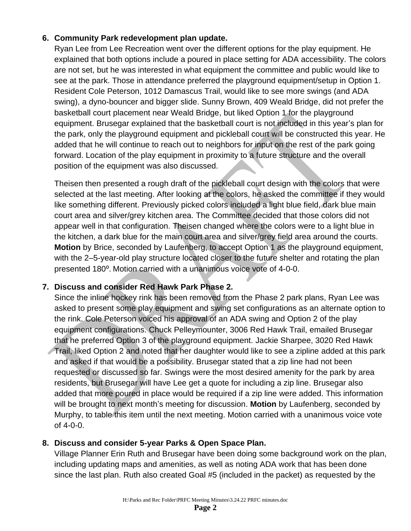# **6. Community Park redevelopment plan update.**

Ryan Lee from Lee Recreation went over the different options for the play equipment. He explained that both options include a poured in place setting for ADA accessibility. The colors are not set, but he was interested in what equipment the committee and public would like to see at the park. Those in attendance preferred the playground equipment/setup in Option 1. Resident Cole Peterson, 1012 Damascus Trail, would like to see more swings (and ADA swing), a dyno-bouncer and bigger slide. Sunny Brown, 409 Weald Bridge, did not prefer the basketball court placement near Weald Bridge, but liked Option 1 for the playground equipment. Brusegar explained that the basketball court is not included in this year's plan for the park, only the playground equipment and pickleball court will be constructed this year. He added that he will continue to reach out to neighbors for input on the rest of the park going forward. Location of the play equipment in proximity to a future structure and the overall position of the equipment was also discussed.

Theisen then presented a rough draft of the pickleball court design with the colors that were selected at the last meeting. After looking at the colors, he asked the committee if they would like something different. Previously picked colors included a light blue field, dark blue main court area and silver/grey kitchen area. The Committee decided that those colors did not appear well in that configuration. Theisen changed where the colors were to a light blue in the kitchen, a dark blue for the main court area and silver/grey field area around the courts. **Motion** by Brice, seconded by Laufenberg, to accept Option 1 as the playground equipment, with the 2–5-year-old play structure located closer to the future shelter and rotating the plan presented 180⁰. Motion carried with a unanimous voice vote of 4-0-0.

# **7. Discuss and consider Red Hawk Park Phase 2.**

Since the inline hockey rink has been removed from the Phase 2 park plans, Ryan Lee was asked to present some play equipment and swing set configurations as an alternate option to the rink. Cole Peterson voiced his approval of an ADA swing and Option 2 of the play equipment configurations. Chuck Pelleymounter, 3006 Red Hawk Trail, emailed Brusegar that he preferred Option 3 of the playground equipment. Jackie Sharpee, 3020 Red Hawk Trail, liked Option 2 and noted that her daughter would like to see a zipline added at this park and asked if that would be a possibility. Brusegar stated that a zip line had not been requested or discussed so far. Swings were the most desired amenity for the park by area residents, but Brusegar will have Lee get a quote for including a zip line. Brusegar also added that more poured in place would be required if a zip line were added. This information will be brought to next month's meeting for discussion. **Motion** by Laufenberg, seconded by Murphy, to table this item until the next meeting. Motion carried with a unanimous voice vote of 4-0-0.

#### **8. Discuss and consider 5-year Parks & Open Space Plan.**

Village Planner Erin Ruth and Brusegar have been doing some background work on the plan, including updating maps and amenities, as well as noting ADA work that has been done since the last plan. Ruth also created Goal #5 (included in the packet) as requested by the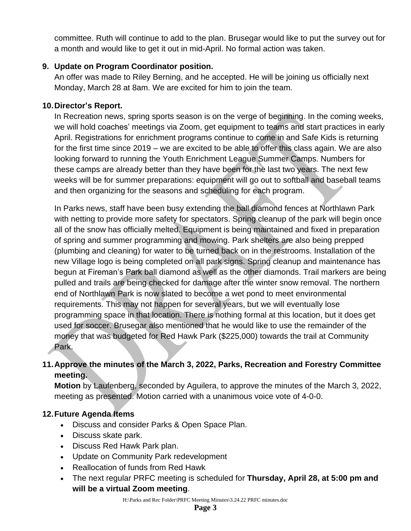committee. Ruth will continue to add to the plan. Brusegar would like to put the survey out for a month and would like to get it out in mid-April. No formal action was taken.

## **9. Update on Program Coordinator position.**

An offer was made to Riley Berning, and he accepted. He will be joining us officially next Monday, March 28 at 8am. We are excited for him to join the team.

#### **10.Director's Report.**

In Recreation news, spring sports season is on the verge of beginning. In the coming weeks, we will hold coaches' meetings via Zoom, get equipment to teams and start practices in early April. Registrations for enrichment programs continue to come in and Safe Kids is returning for the first time since 2019 – we are excited to be able to offer this class again. We are also looking forward to running the Youth Enrichment League Summer Camps. Numbers for these camps are already better than they have been for the last two years. The next few weeks will be for summer preparations: equipment will go out to softball and baseball teams and then organizing for the seasons and scheduling for each program.

In Parks news, staff have been busy extending the ball diamond fences at Northlawn Park with netting to provide more safety for spectators. Spring cleanup of the park will begin once all of the snow has officially melted. Equipment is being maintained and fixed in preparation of spring and summer programming and mowing. Park shelters are also being prepped (plumbing and cleaning) for water to be turned back on in the restrooms. Installation of the new Village logo is being completed on all park signs. Spring cleanup and maintenance has begun at Fireman's Park ball diamond as well as the other diamonds. Trail markers are being pulled and trails are being checked for damage after the winter snow removal. The northern end of Northlawn Park is now slated to become a wet pond to meet environmental requirements. This may not happen for several years, but we will eventually lose programming space in that location. There is nothing formal at this location, but it does get used for soccer. Brusegar also mentioned that he would like to use the remainder of the money that was budgeted for Red Hawk Park (\$225,000) towards the trail at Community Park.

# **11.Approve the minutes of the March 3, 2022, Parks, Recreation and Forestry Committee meeting.**

**Motion** by Laufenberg, seconded by Aguilera, to approve the minutes of the March 3, 2022, meeting as presented. Motion carried with a unanimous voice vote of 4-0-0.

# **12.Future Agenda Items**

- Discuss and consider Parks & Open Space Plan.
- Discuss skate park.
- Discuss Red Hawk Park plan.
- Update on Community Park redevelopment
- Reallocation of funds from Red Hawk
- The next regular PRFC meeting is scheduled for **Thursday, April 28, at 5:00 pm and will be a virtual Zoom meeting**.